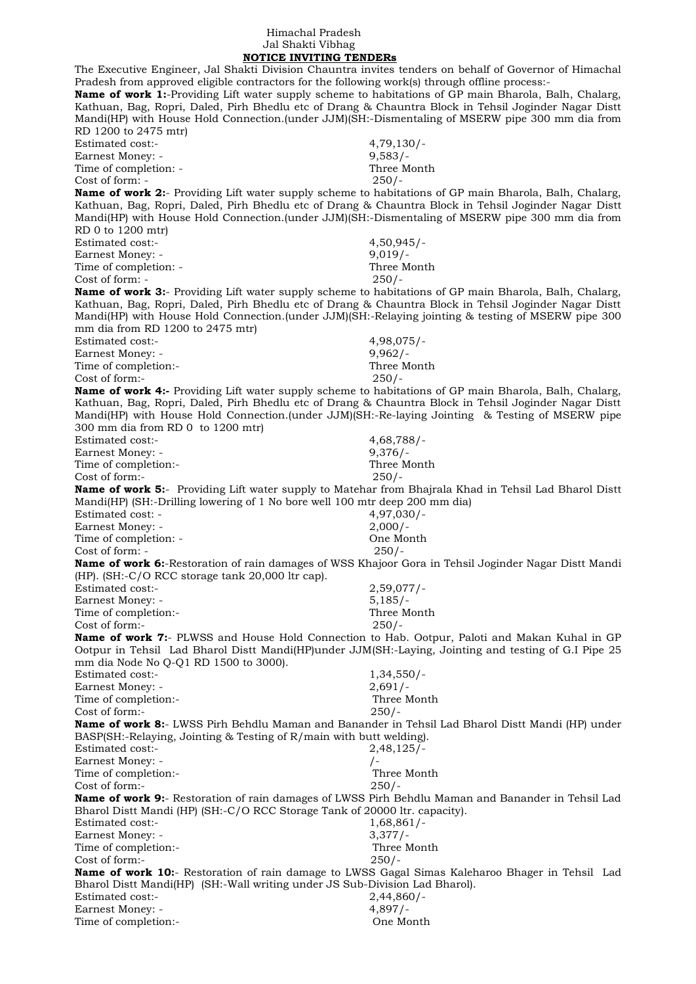## Himachal Pradesh Jal Shakti Vibhag

 **NOTICE INVITING TENDERs** The Executive Engineer, Jal Shakti Division Chauntra invites tenders on behalf of Governor of Himachal Pradesh from approved eligible contractors for the following work(s) through offline process:- **Name of work 1:**-Providing Lift water supply scheme to habitations of GP main Bharola, Balh, Chalarg, Kathuan, Bag, Ropri, Daled, Pirh Bhedlu etc of Drang & Chauntra Block in Tehsil Joginder Nagar Distt Mandi(HP) with House Hold Connection.(under JJM)(SH:-Dismentaling of MSERW pipe 300 mm dia from RD 1200 to 2475 mtr) Estimated cost:- 4,79,130/- Earnest Money: - 9,583/-<br>Time of completion: - 1999 - 1999 - 1999 - 1999 - 1999 - 1999 - 1999 - 1999 - 1999 - 1999 - 1999 - 1999 - 199 Time of completion: - $Cost of form: -250/$ **Name of work 2:**- Providing Lift water supply scheme to habitations of GP main Bharola, Balh, Chalarg, Kathuan, Bag, Ropri, Daled, Pirh Bhedlu etc of Drang & Chauntra Block in Tehsil Joginder Nagar Distt Mandi(HP) with House Hold Connection.(under JJM)(SH:-Dismentaling of MSERW pipe 300 mm dia from RD 0 to 1200 mtr) Estimated cost:- 4,50,945/- Earnest Money: - 9,019/-Time of completion: - Three Month Cost of form: - 250/- **Name of work 3:**- Providing Lift water supply scheme to habitations of GP main Bharola, Balh, Chalarg, Kathuan, Bag, Ropri, Daled, Pirh Bhedlu etc of Drang & Chauntra Block in Tehsil Joginder Nagar Distt Mandi(HP) with House Hold Connection.(under JJM)(SH:-Relaying jointing & testing of MSERW pipe 300 mm dia from RD 1200 to 2475 mtr) Estimated cost:- 4,98,075/- Earnest Money: - 9,962/-Time of completion:-<br>
Cost of form:-<br>
250/-Cost of form:-**Name of work 4:-** Providing Lift water supply scheme to habitations of GP main Bharola, Balh, Chalarg, Kathuan, Bag, Ropri, Daled, Pirh Bhedlu etc of Drang & Chauntra Block in Tehsil Joginder Nagar Distt Mandi(HP) with House Hold Connection.(under JJM)(SH:-Re-laying Jointing & Testing of MSERW pipe 300 mm dia from RD 0 to 1200 mtr) Estimated cost:- 4,68,788/- Earnest Money: - 9,376/-Time of completion:- Three Month Cost of form:- 250/- **Name of work 5:**- Providing Lift water supply to Matehar from Bhajrala Khad in Tehsil Lad Bharol Distt Mandi(HP) (SH:-Drilling lowering of 1 No bore well 100 mtr deep 200 mm dia) Estimated cost: - 4,97,030/- Earnest Money: - 2,000/-Time of completion: - One Month Cost of form: - 250/- **Name of work 6:**-Restoration of rain damages of WSS Khajoor Gora in Tehsil Joginder Nagar Distt Mandi  $(HP)$ . (SH:-C/O RCC storage tank 20,000 ltr cap). Estimated cost:- 2,59,077/- Earnest Money: - 5.185/-Time of completion:- Three Month Cost of form:- 250/- **Name of work 7:**- PLWSS and House Hold Connection to Hab. Ootpur, Paloti and Makan Kuhal in GP Ootpur in Tehsil Lad Bharol Distt Mandi(HP)under JJM(SH:-Laying, Jointing and testing of G.I Pipe 25 mm dia Node No Q-Q1 RD 1500 to 3000). Estimated cost:- 1,34,550/- Earnest Money: - 2,691/-Time of completion:- Three Month Cost of form:- 250/- **Name of work 8:**- LWSS Pirh Behdlu Maman and Banander in Tehsil Lad Bharol Distt Mandi (HP) under BASP(SH:-Relaying, Jointing & Testing of R/main with butt welding). Estimated cost:- 2,48,125/- Earnest Money: -Time of completion:- Three Month Cost of form:- 250/- **Name of work 9:**- Restoration of rain damages of LWSS Pirh Behdlu Maman and Banander in Tehsil Lad Bharol Distt Mandi (HP) (SH:-C/O RCC Storage Tank of 20000 ltr. capacity). Estimated cost:- 1,68,861/- Earnest Money: - 3,377/-Time of completion:- Three Month Cost of form:- 250/- **Name of work 10:**- Restoration of rain damage to LWSS Gagal Simas Kaleharoo Bhager in Tehsil Lad Bharol Distt Mandi(HP) (SH:-Wall writing under JS Sub-Division Lad Bharol). Estimated cost:- 2,44,860/- Earnest Money: - 4,897/-Time of completion:- One Month